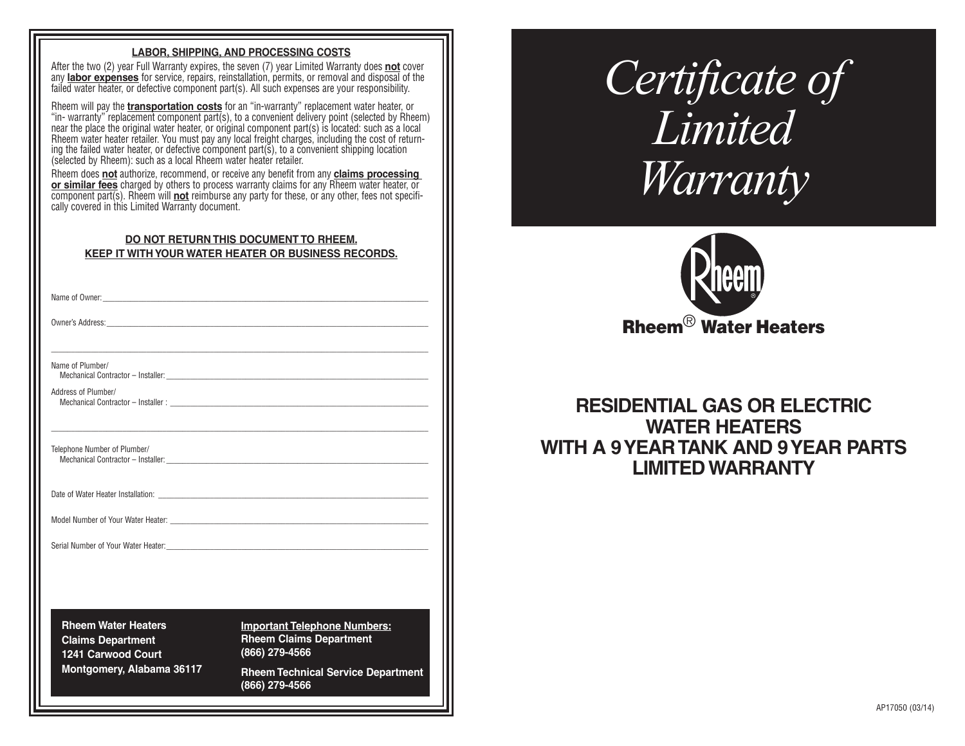# **LABOR, SHIPPING, AND PROCESSING COSTS**

After the two (2) year Full Warranty expires, the seven (7) year Limited Warranty does **not** cover any **labor expenses** for service, repairs, reinstallation, permits, or removal and disposal of the failed water heater, or defective component part(s). All such expenses are your responsibility.

Rheem will pay the **transportation costs** for an "in-warranty" replacement water heater, or "in- warranty" replacement component part(s), to a convenient delivery point (selected by Rheem) near the place the original water heater, or original component part(s) is located: such as a local Rheem water heater retailer. You must pay any local freight charges, including the cost of returning the failed water heater, or defective component part(s), to a convenient shipping location (selected by Rheem): such as a local Rheem water heater retailer.

Rheem does **not** authorize, recommend, or receive any benefit from any **claims processing or similar fees** charged by others to process warranty claims for any Rheem water heater, or component part(s). Rheem will **not** reimburse any party for these, or any other, fees not specifi cally covered in this Limited Warranty document.

| DO NOT RETURN THIS DOCUMENT TO RHEEM.               |  |
|-----------------------------------------------------|--|
| KEEP IT WITH YOUR WATER HEATER OR BUSINESS RECORDS. |  |

\_\_\_\_\_\_\_\_\_\_\_\_\_\_\_\_\_\_\_\_\_\_\_\_\_\_\_\_\_\_\_\_\_\_\_\_\_\_\_\_\_\_\_\_\_\_\_\_\_\_\_\_\_\_\_\_\_\_\_\_\_\_\_\_\_\_\_\_\_\_\_\_\_\_\_\_\_\_\_\_\_\_\_\_\_\_\_\_\_\_\_\_\_\_\_

\_\_\_\_\_\_\_\_\_\_\_\_\_\_\_\_\_\_\_\_\_\_\_\_\_\_\_\_\_\_\_\_\_\_\_\_\_\_\_\_\_\_\_\_\_\_\_\_\_\_\_\_\_\_\_\_\_\_\_\_\_\_\_\_\_\_\_\_\_\_\_\_\_\_\_\_\_\_\_\_\_\_\_\_\_\_\_\_\_\_\_\_\_\_\_

Name of Owner:

Owner's Address:

Name of Plumber/

Mechanical Contractor - Installer:

Address of Plumber/ Mechanical Contractor - Installer :

Telephone Number of Plumber/ Mechanical Contractor - Installer:

Date of Water Heater Installation:

Model Number of Your Water Heater:

Serial Number of Your Water Heater:

**Rheem Water Heaters Claims Department 1241 Carwood Court Montgomery, Alabama 36117** **Important Telephone Numbers: Rheem Claims Department (866) 279-4566**

**Rheem Technical Service Department (866) 279-4566** 

# *Certificate of Limited Warranty*



# **RESIDENTIAL GAS OR ELECTRIC WATER HEATERS WITH A 9 YEAR TANK AND 9 YEAR PARTS LIMITED WARRANTY**